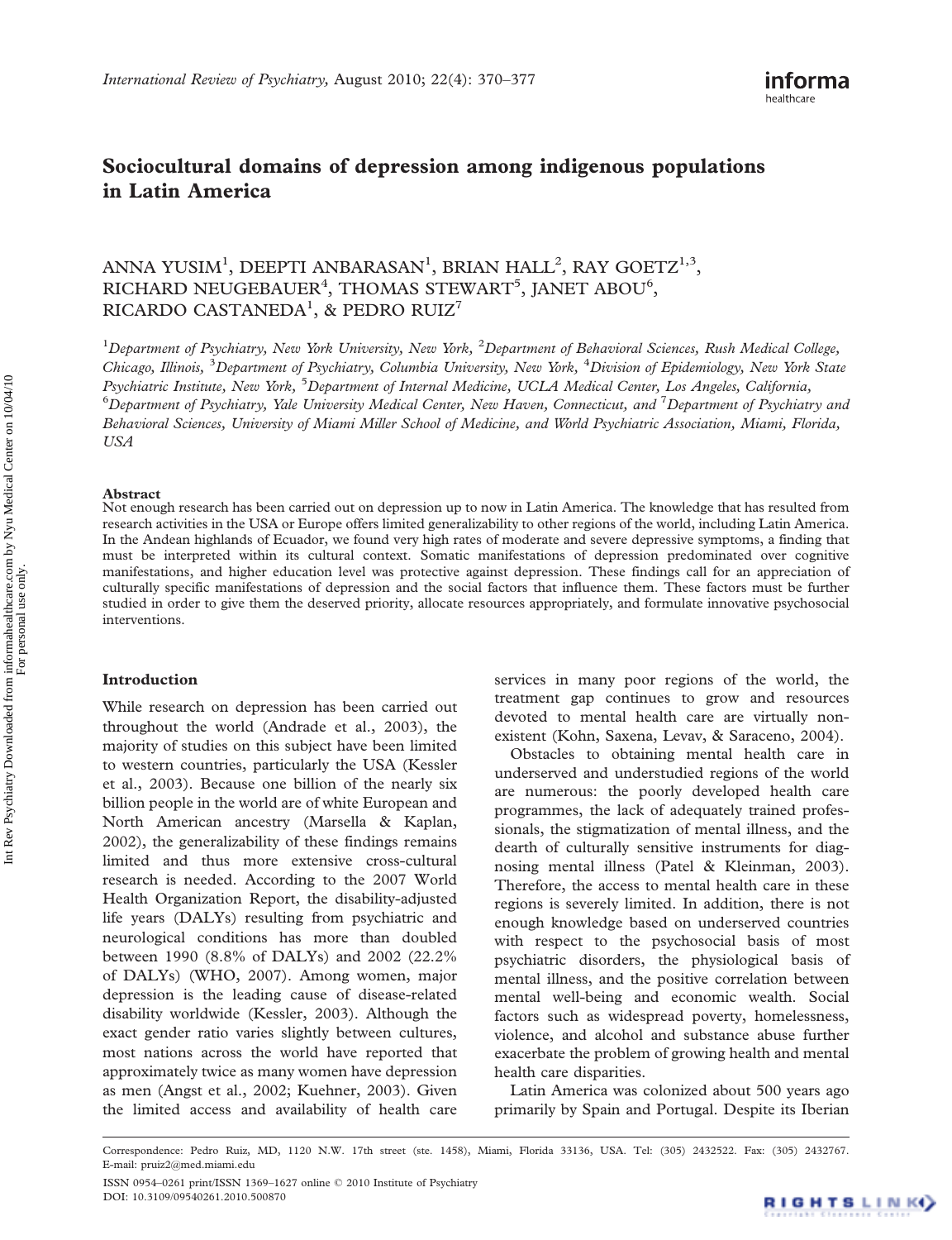# Sociocultural domains of depression among indigenous populations in Latin America

## ANNA YUSIM<sup>1</sup>, DEEPTI ANBARASAN<sup>1</sup>, BRIAN HALL<sup>2</sup>, RAY GOETZ<sup>1,3</sup>, RICHARD NEUGEBAUER<sup>4</sup>, THOMAS STEWART<sup>5</sup>, JANET ABOU<sup>6</sup>, RICARDO CASTANEDA<sup>1</sup>, & PEDRO RUIZ<sup>7</sup>

<sup>1</sup>Department of Psychiatry, New York University, New York, <sup>2</sup>Department of Behavioral Sciences, Rush Medical College, Chicago, Illinois, <sup>3</sup>Department of Psychiatry, Columbia University, New York, <sup>4</sup>Division of Epidemiology, New York State Psychiatric Institute, New York, <sup>5</sup>Department of Internal Medicine, UCLA Medical Center, Los Angeles, California,  $^6$ Department of Psychiatry, Yale University Medical Center, New Haven, Connecticut, and <sup>7</sup>Department of Psychiatry and Behavioral Sciences, University of Miami Miller School of Medicine, and World Psychiatric Association, Miami, Florida, USA

### Abstract

Not enough research has been carried out on depression up to now in Latin America. The knowledge that has resulted from research activities in the USA or Europe offers limited generalizability to other regions of the world, including Latin America. In the Andean highlands of Ecuador, we found very high rates of moderate and severe depressive symptoms, a finding that must be interpreted within its cultural context. Somatic manifestations of depression predominated over cognitive manifestations, and higher education level was protective against depression. These findings call for an appreciation of culturally specific manifestations of depression and the social factors that influence them. These factors must be further studied in order to give them the deserved priority, allocate resources appropriately, and formulate innovative psychosocial interventions.

## Introduction

While research on depression has been carried out throughout the world (Andrade et al., 2003), the majority of studies on this subject have been limited to western countries, particularly the USA (Kessler et al., 2003). Because one billion of the nearly six billion people in the world are of white European and North American ancestry (Marsella & Kaplan, 2002), the generalizability of these findings remains limited and thus more extensive cross-cultural research is needed. According to the 2007 World Health Organization Report, the disability-adjusted life years (DALYs) resulting from psychiatric and neurological conditions has more than doubled between 1990 (8.8% of DALYs) and 2002 (22.2% of DALYs) (WHO, 2007). Among women, major depression is the leading cause of disease-related disability worldwide (Kessler, 2003). Although the exact gender ratio varies slightly between cultures, most nations across the world have reported that approximately twice as many women have depression as men (Angst et al., 2002; Kuehner, 2003). Given the limited access and availability of health care

services in many poor regions of the world, the treatment gap continues to grow and resources devoted to mental health care are virtually nonexistent (Kohn, Saxena, Levav, & Saraceno, 2004).

Obstacles to obtaining mental health care in underserved and understudied regions of the world are numerous: the poorly developed health care programmes, the lack of adequately trained professionals, the stigmatization of mental illness, and the dearth of culturally sensitive instruments for diagnosing mental illness (Patel & Kleinman, 2003). Therefore, the access to mental health care in these regions is severely limited. In addition, there is not enough knowledge based on underserved countries with respect to the psychosocial basis of most psychiatric disorders, the physiological basis of mental illness, and the positive correlation between mental well-being and economic wealth. Social factors such as widespread poverty, homelessness, violence, and alcohol and substance abuse further exacerbate the problem of growing health and mental health care disparities.

Latin America was colonized about 500 years ago primarily by Spain and Portugal. Despite its Iberian

Correspondence: Pedro Ruiz, MD, 1120 N.W. 17th street (ste. 1458), Miami, Florida 33136, USA. Tel: (305) 2432522. Fax: (305) 2432767. E-mail: pruiz2@med.miami.edu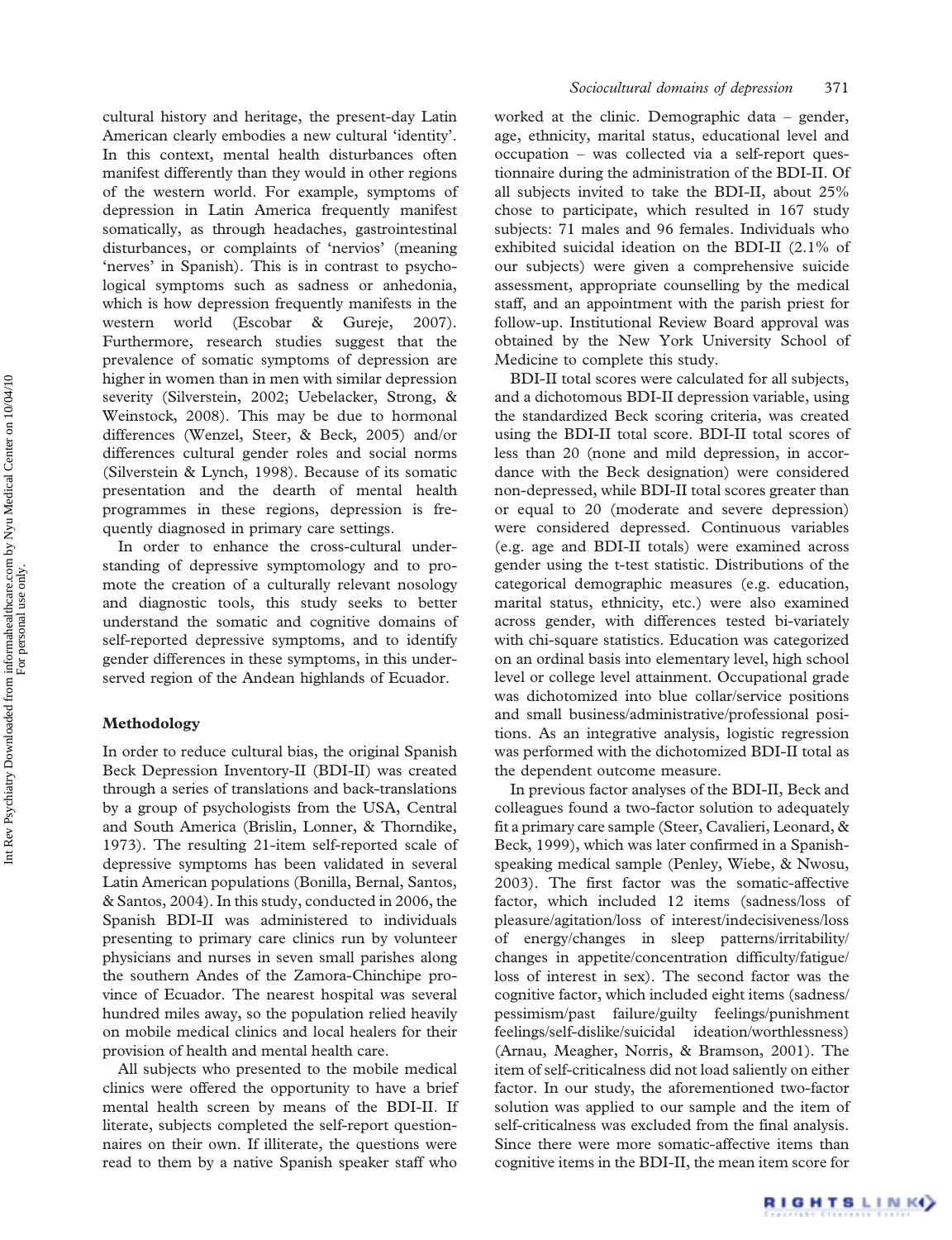cultural history and heritage, the present-day Latin American clearly embodies a new cultural 'identity'. In this context, mental health disturbances often manifest differently than they would in other regions of the western world. For example, symptoms of depression in Latin America frequently manifest somatically, as through headaches, gastrointestinal disturbances, or complaints of 'nervios' (meaning 'nerves' in Spanish). This is in contrast to psychological symptoms such as sadness or anhedonia, which is how depression frequently manifests in the western world (Escobar & Gureje, 2007). Furthermore, research studies suggest that the prevalence of somatic symptoms of depression are higher in women than in men with similar depression severity (Silverstein, 2002; Uebelacker, Strong, & Weinstock, 2008). This may be due to hormonal differences (Wenzel, Steer, & Beck, 2005) and/or differences cultural gender roles and social norms (Silverstein & Lynch, 1998). Because of its somatic presentation and the dearth of mental health programmes in these regions, depression is frequently diagnosed in primary care settings.

In order to enhance the cross-cultural understanding of depressive symptomology and to promote the creation of a culturally relevant nosology and diagnostic tools, this study seeks to better understand the somatic and cognitive domains of self-reported depressive symptoms, and to identify gender differences in these symptoms, in this underserved region of the Andean highlands of Ecuador.

## Methodology

In order to reduce cultural bias, the original Spanish Beck Depression Inventory-II (BDI-II) was created through a series of translations and back-translations by a group of psychologists from the USA, Central and South America (Brislin, Lonner, & Thorndike, 1973). The resulting 21-item self-reported scale of depressive symptoms has been validated in several Latin American populations (Bonilla, Bernal, Santos, & Santos, 2004). In this study, conducted in 2006, the Spanish BDI-II was administered to individuals presenting to primary care clinics run by volunteer physicians and nurses in seven small parishes along the southern Andes of the Zamora-Chinchipe province of Ecuador. The nearest hospital was several hundred miles away, so the population relied heavily on mobile medical clinics and local healers for their provision of health and mental health care.

All subjects who presented to the mobile medical clinics were offered the opportunity to have a brief mental health screen by means of the BDI-II. If literate, subjects completed the self-report questionnaires on their own. If illiterate, the questions were read to them by a native Spanish speaker staff who

worked at the clinic. Demographic data – gender, age, ethnicity, marital status, educational level and occupation – was collected via a self-report questionnaire during the administration of the BDI-II. Of all subjects invited to take the BDI-II, about 25% chose to participate, which resulted in 167 study subjects: 71 males and 96 females. Individuals who exhibited suicidal ideation on the BDI-II (2.1% of our subjects) were given a comprehensive suicide assessment, appropriate counselling by the medical staff, and an appointment with the parish priest for follow-up. Institutional Review Board approval was obtained by the New York University School of Medicine to complete this study.

BDI-II total scores were calculated for all subjects, and a dichotomous BDI-II depression variable, using the standardized Beck scoring criteria, was created using the BDI-II total score. BDI-II total scores of less than 20 (none and mild depression, in accordance with the Beck designation) were considered non-depressed, while BDI-II total scores greater than or equal to 20 (moderate and severe depression) were considered depressed. Continuous variables (e.g. age and BDI-II totals) were examined across gender using the t-test statistic. Distributions of the categorical demographic measures (e.g. education, marital status, ethnicity, etc.) were also examined across gender, with differences tested bi-variately with chi-square statistics. Education was categorized on an ordinal basis into elementary level, high school level or college level attainment. Occupational grade was dichotomized into blue collar/service positions and small business/administrative/professional positions. As an integrative analysis, logistic regression was performed with the dichotomized BDI-II total as the dependent outcome measure.

In previous factor analyses of the BDI-II, Beck and colleagues found a two-factor solution to adequately fit a primary care sample (Steer, Cavalieri, Leonard, & Beck, 1999), which was later confirmed in a Spanishspeaking medical sample (Penley, Wiebe, & Nwosu, 2003). The first factor was the somatic-affective factor, which included 12 items (sadness/loss of pleasure/agitation/loss of interest/indecisiveness/loss of energy/changes in sleep patterns/irritability/ changes in appetite/concentration difficulty/fatigue/ loss of interest in sex). The second factor was the cognitive factor, which included eight items (sadness/ pessimism/past failure/guilty feelings/punishment feelings/self-dislike/suicidal ideation/worthlessness) (Arnau, Meagher, Norris, & Bramson, 2001). The item of self-criticalness did not load saliently on either factor. In our study, the aforementioned two-factor solution was applied to our sample and the item of self-criticalness was excluded from the final analysis. Since there were more somatic-affective items than cognitive items in the BDI-II, the mean item score for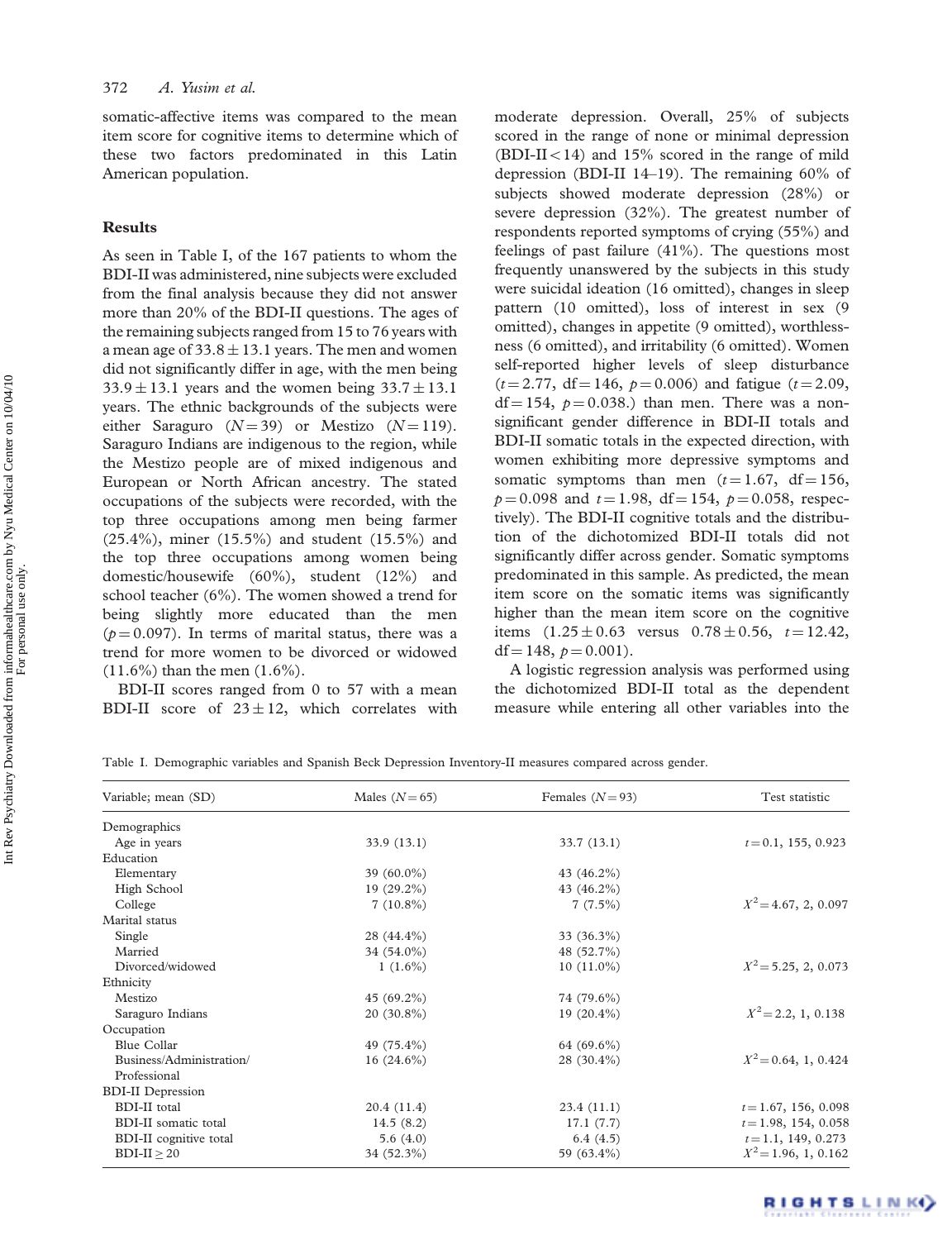somatic-affective items was compared to the mean item score for cognitive items to determine which of these two factors predominated in this Latin American population.

#### **Results**

As seen in Table I, of the 167 patients to whom the BDI-II was administered, nine subjects were excluded from the final analysis because they did not answer more than 20% of the BDI-II questions. The ages of the remaining subjects ranged from 15 to 76 years with a mean age of  $33.8 \pm 13.1$  years. The men and women did not significantly differ in age, with the men being  $33.9 \pm 13.1$  years and the women being  $33.7 \pm 13.1$ years. The ethnic backgrounds of the subjects were either Saraguro  $(N = 39)$  or Mestizo  $(N = 119)$ . Saraguro Indians are indigenous to the region, while the Mestizo people are of mixed indigenous and European or North African ancestry. The stated occupations of the subjects were recorded, with the top three occupations among men being farmer (25.4%), miner (15.5%) and student (15.5%) and the top three occupations among women being domestic/housewife (60%), student (12%) and school teacher (6%). The women showed a trend for being slightly more educated than the men  $(p=0.097)$ . In terms of marital status, there was a trend for more women to be divorced or widowed  $(11.6\%)$  than the men  $(1.6\%)$ .

BDI-II scores ranged from 0 to 57 with a mean BDI-II score of  $23 \pm 12$ , which correlates with moderate depression. Overall, 25% of subjects scored in the range of none or minimal depression  $(BDI-II<14)$  and 15% scored in the range of mild depression (BDI-II 14–19). The remaining 60% of subjects showed moderate depression (28%) or severe depression (32%). The greatest number of respondents reported symptoms of crying (55%) and feelings of past failure (41%). The questions most frequently unanswered by the subjects in this study were suicidal ideation (16 omitted), changes in sleep pattern (10 omitted), loss of interest in sex (9 omitted), changes in appetite (9 omitted), worthlessness (6 omitted), and irritability (6 omitted). Women self-reported higher levels of sleep disturbance  $(t = 2.77, df = 146, p = 0.006)$  and fatigue  $(t = 2.09,$  $df = 154$ ,  $p = 0.038$ .) than men. There was a nonsignificant gender difference in BDI-II totals and BDI-II somatic totals in the expected direction, with women exhibiting more depressive symptoms and somatic symptoms than men  $(t = 1.67, df = 156,$  $p = 0.098$  and  $t = 1.98$ , df = 154,  $p = 0.058$ , respectively). The BDI-II cognitive totals and the distribution of the dichotomized BDI-II totals did not significantly differ across gender. Somatic symptoms predominated in this sample. As predicted, the mean item score on the somatic items was significantly higher than the mean item score on the cognitive items  $(1.25 \pm 0.63$  versus  $0.78 \pm 0.56$ ,  $t = 12.42$ ,  $df = 148$ ,  $p = 0.001$ ).

A logistic regression analysis was performed using the dichotomized BDI-II total as the dependent measure while entering all other variables into the

RIGHTSLINK)

Table I. Demographic variables and Spanish Beck Depression Inventory-II measures compared across gender.

| Variable; mean (SD)         | Males $(N=65)$ | Females $(N=93)$ | Test statistic          |  |
|-----------------------------|----------------|------------------|-------------------------|--|
| Demographics                |                |                  |                         |  |
| Age in years                | 33.9(13.1)     | 33.7(13.1)       | $t = 0.1, 155, 0.923$   |  |
| Education                   |                |                  |                         |  |
| Elementary                  | 39 $(60.0\%)$  | 43 (46.2%)       |                         |  |
| High School                 | $19(29.2\%)$   | 43 (46.2%)       |                         |  |
| College                     | $7(10.8\%)$    | $7(7.5\%)$       | $X^2$ = 4.67, 2, 0.097  |  |
| Marital status              |                |                  |                         |  |
| Single                      | 28 (44.4%)     | $33(36.3\%)$     |                         |  |
| Married                     | 34 (54.0%)     | 48 (52.7%)       |                         |  |
| Divorced/widowed            | $1(1.6\%)$     | $10(11.0\%)$     | $X^2 = 5.25$ , 2, 0.073 |  |
| Ethnicity                   |                |                  |                         |  |
| Mestizo                     | 45 $(69.2\%)$  | 74 (79.6%)       |                         |  |
| Saraguro Indians            | $20(30.8\%)$   | 19 $(20.4\%)$    | $X^2 = 2.2, 1, 0.138$   |  |
| Occupation                  |                |                  |                         |  |
| <b>Blue Collar</b>          | 49 (75.4%)     | 64 $(69.6\%)$    |                         |  |
| Business/Administration/    | 16 $(24.6\%)$  | $28(30.4\%)$     | $X^2 = 0.64, 1, 0.424$  |  |
| Professional                |                |                  |                         |  |
| <b>BDI-II</b> Depression    |                |                  |                         |  |
| <b>BDI-II</b> total         | 20.4(11.4)     | 23.4(11.1)       | $t = 1.67, 156, 0.098$  |  |
| <b>BDI-II</b> somatic total | 14.5(8.2)      | 17.1(7.7)        | $t = 1.98, 154, 0.058$  |  |
| BDI-II cognitive total      | 5.6(4.0)       | 6.4(4.5)         | $t = 1.1, 149, 0.273$   |  |
| $BDI-II > 20$               | 34 (52.3%)     | 59 (63.4%)       | $X^2 = 1.96, 1, 0.162$  |  |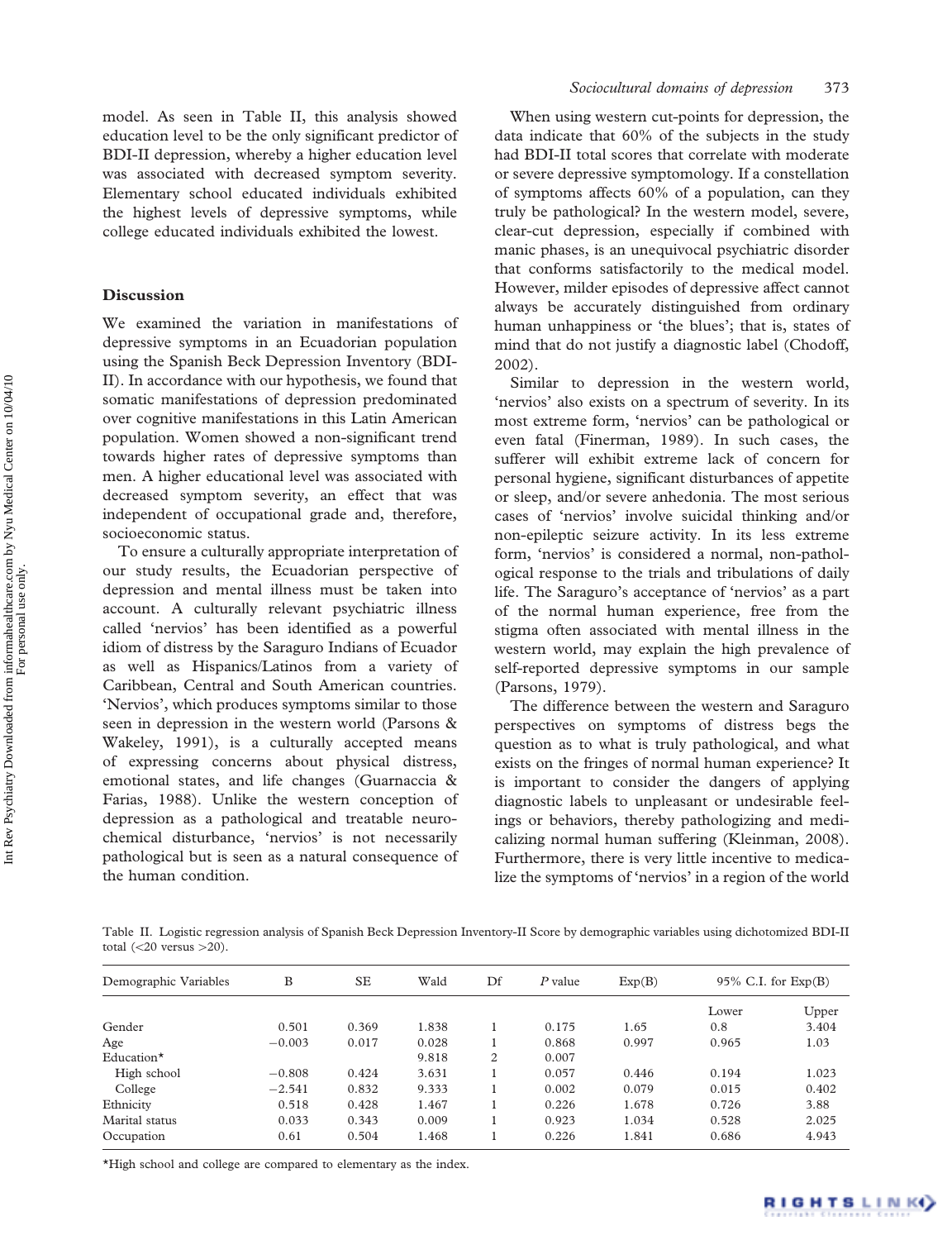model. As seen in Table II, this analysis showed education level to be the only significant predictor of BDI-II depression, whereby a higher education level was associated with decreased symptom severity. Elementary school educated individuals exhibited the highest levels of depressive symptoms, while college educated individuals exhibited the lowest.

## Discussion

We examined the variation in manifestations of depressive symptoms in an Ecuadorian population using the Spanish Beck Depression Inventory (BDI-II). In accordance with our hypothesis, we found that somatic manifestations of depression predominated over cognitive manifestations in this Latin American population. Women showed a non-significant trend towards higher rates of depressive symptoms than men. A higher educational level was associated with decreased symptom severity, an effect that was independent of occupational grade and, therefore, socioeconomic status.

To ensure a culturally appropriate interpretation of our study results, the Ecuadorian perspective of depression and mental illness must be taken into account. A culturally relevant psychiatric illness called 'nervios' has been identified as a powerful idiom of distress by the Saraguro Indians of Ecuador as well as Hispanics/Latinos from a variety of Caribbean, Central and South American countries. 'Nervios', which produces symptoms similar to those seen in depression in the western world (Parsons & Wakeley, 1991), is a culturally accepted means of expressing concerns about physical distress, emotional states, and life changes (Guarnaccia & Farias, 1988). Unlike the western conception of depression as a pathological and treatable neurochemical disturbance, 'nervios' is not necessarily pathological but is seen as a natural consequence of the human condition.

When using western cut-points for depression, the data indicate that 60% of the subjects in the study had BDI-II total scores that correlate with moderate or severe depressive symptomology. If a constellation of symptoms affects 60% of a population, can they truly be pathological? In the western model, severe, clear-cut depression, especially if combined with manic phases, is an unequivocal psychiatric disorder that conforms satisfactorily to the medical model. However, milder episodes of depressive affect cannot always be accurately distinguished from ordinary human unhappiness or 'the blues'; that is, states of mind that do not justify a diagnostic label (Chodoff, 2002).

Similar to depression in the western world, 'nervios' also exists on a spectrum of severity. In its most extreme form, 'nervios' can be pathological or even fatal (Finerman, 1989). In such cases, the sufferer will exhibit extreme lack of concern for personal hygiene, significant disturbances of appetite or sleep, and/or severe anhedonia. The most serious cases of 'nervios' involve suicidal thinking and/or non-epileptic seizure activity. In its less extreme form, 'nervios' is considered a normal, non-pathological response to the trials and tribulations of daily life. The Saraguro's acceptance of 'nervios' as a part of the normal human experience, free from the stigma often associated with mental illness in the western world, may explain the high prevalence of self-reported depressive symptoms in our sample (Parsons, 1979).

The difference between the western and Saraguro perspectives on symptoms of distress begs the question as to what is truly pathological, and what exists on the fringes of normal human experience? It is important to consider the dangers of applying diagnostic labels to unpleasant or undesirable feelings or behaviors, thereby pathologizing and medicalizing normal human suffering (Kleinman, 2008). Furthermore, there is very little incentive to medicalize the symptoms of 'nervios' in a region of the world

Table II. Logistic regression analysis of Spanish Beck Depression Inventory-II Score by demographic variables using dichotomized BDI-II total  $(<20$  versus  $>20$ ).

| Demographic Variables | B        | <b>SE</b> | Wald  | Df | P value | Exp(B) | $95\%$ C.I. for $Exp(B)$ |       |
|-----------------------|----------|-----------|-------|----|---------|--------|--------------------------|-------|
|                       |          |           |       |    |         |        | Lower                    | Upper |
| Gender                | 0.501    | 0.369     | 1.838 |    | 0.175   | 1.65   | 0.8                      | 3.404 |
| Age                   | $-0.003$ | 0.017     | 0.028 |    | 0.868   | 0.997  | 0.965                    | 1.03  |
| Education $\star$     |          |           | 9.818 | 2  | 0.007   |        |                          |       |
| High school           | $-0.808$ | 0.424     | 3.631 |    | 0.057   | 0.446  | 0.194                    | 1.023 |
| College               | $-2.541$ | 0.832     | 9.333 |    | 0.002   | 0.079  | 0.015                    | 0.402 |
| Ethnicity             | 0.518    | 0.428     | 1.467 |    | 0.226   | 1.678  | 0.726                    | 3.88  |
| Marital status        | 0.033    | 0.343     | 0.009 |    | 0.923   | 1.034  | 0.528                    | 2.025 |
| Occupation            | 0.61     | 0.504     | 1.468 |    | 0.226   | 1.841  | 0.686                    | 4.943 |

\*High school and college are compared to elementary as the index.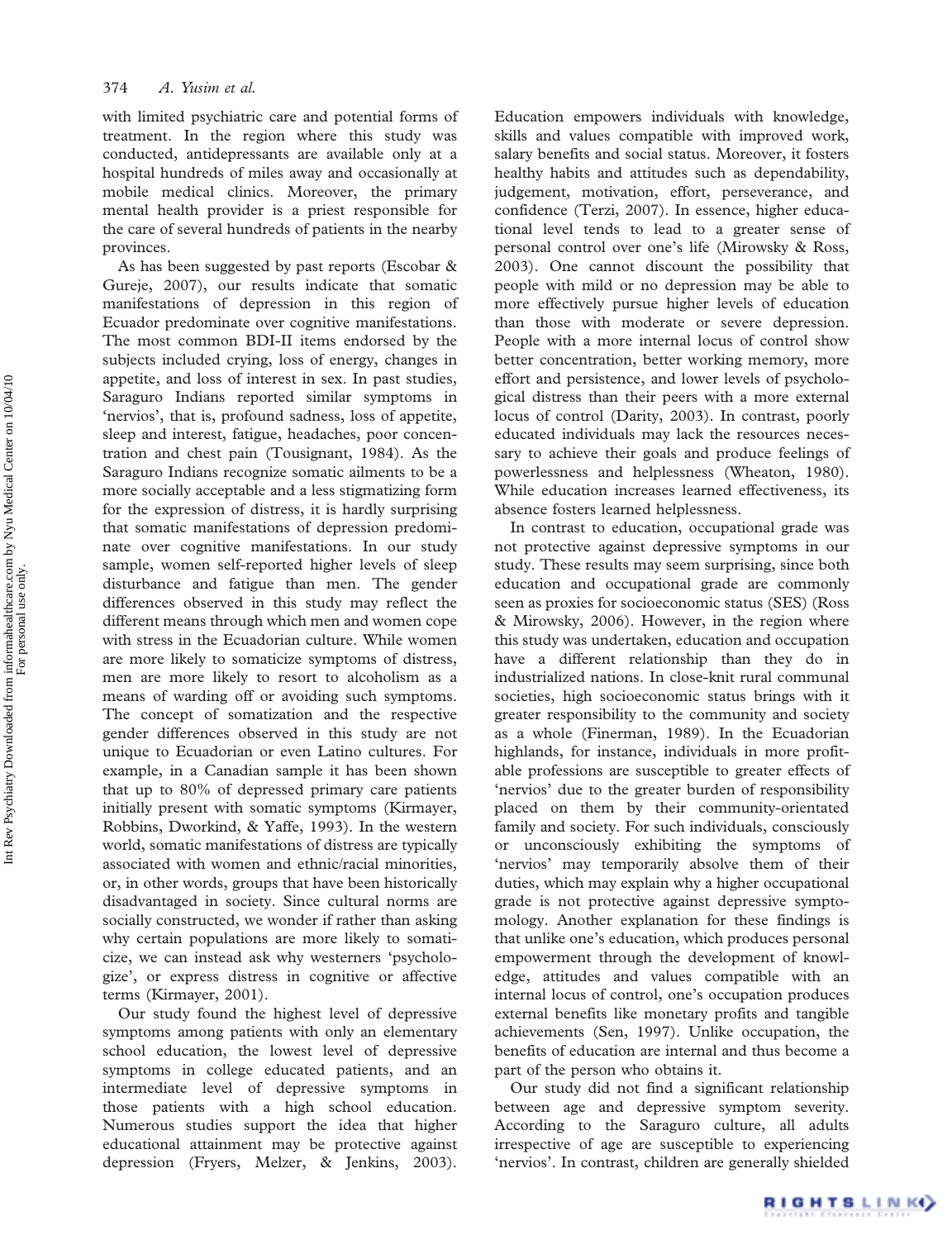with limited psychiatric care and potential forms of treatment. In the region where this study was conducted, antidepressants are available only at a hospital hundreds of miles away and occasionally at mobile medical clinics. Moreover, the primary mental health provider is a priest responsible for the care of several hundreds of patients in the nearby provinces.

As has been suggested by past reports (Escobar & Gureje, 2007), our results indicate that somatic manifestations of depression in this region of Ecuador predominate over cognitive manifestations. The most common BDI-II items endorsed by the subjects included crying, loss of energy, changes in appetite, and loss of interest in sex. In past studies, Saraguro Indians reported similar symptoms in 'nervios', that is, profound sadness, loss of appetite, sleep and interest, fatigue, headaches, poor concentration and chest pain (Tousignant, 1984). As the Saraguro Indians recognize somatic ailments to be a more socially acceptable and a less stigmatizing form for the expression of distress, it is hardly surprising that somatic manifestations of depression predominate over cognitive manifestations. In our study sample, women self-reported higher levels of sleep disturbance and fatigue than men. The gender differences observed in this study may reflect the different means through which men and women cope with stress in the Ecuadorian culture. While women are more likely to somaticize symptoms of distress, men are more likely to resort to alcoholism as a means of warding off or avoiding such symptoms. The concept of somatization and the respective gender differences observed in this study are not unique to Ecuadorian or even Latino cultures. For example, in a Canadian sample it has been shown that up to 80% of depressed primary care patients initially present with somatic symptoms (Kirmayer, Robbins, Dworkind, & Yaffe, 1993). In the western world, somatic manifestations of distress are typically associated with women and ethnic/racial minorities, or, in other words, groups that have been historically disadvantaged in society. Since cultural norms are socially constructed, we wonder if rather than asking why certain populations are more likely to somaticize, we can instead ask why westerners 'psychologize', or express distress in cognitive or affective terms (Kirmayer, 2001).

Our study found the highest level of depressive symptoms among patients with only an elementary school education, the lowest level of depressive symptoms in college educated patients, and an intermediate level of depressive symptoms in those patients with a high school education. Numerous studies support the idea that higher educational attainment may be protective against depression (Fryers, Melzer, & Jenkins, 2003). Education empowers individuals with knowledge, skills and values compatible with improved work, salary benefits and social status. Moreover, it fosters healthy habits and attitudes such as dependability, judgement, motivation, effort, perseverance, and confidence (Terzi, 2007). In essence, higher educational level tends to lead to a greater sense of personal control over one's life (Mirowsky & Ross, 2003). One cannot discount the possibility that people with mild or no depression may be able to more effectively pursue higher levels of education than those with moderate or severe depression. People with a more internal locus of control show better concentration, better working memory, more effort and persistence, and lower levels of psychological distress than their peers with a more external locus of control (Darity, 2003). In contrast, poorly educated individuals may lack the resources necessary to achieve their goals and produce feelings of powerlessness and helplessness (Wheaton, 1980). While education increases learned effectiveness, its absence fosters learned helplessness.

In contrast to education, occupational grade was not protective against depressive symptoms in our study. These results may seem surprising, since both education and occupational grade are commonly seen as proxies for socioeconomic status (SES) (Ross & Mirowsky, 2006). However, in the region where this study was undertaken, education and occupation have a different relationship than they do in industrialized nations. In close-knit rural communal societies, high socioeconomic status brings with it greater responsibility to the community and society as a whole (Finerman, 1989). In the Ecuadorian highlands, for instance, individuals in more profitable professions are susceptible to greater effects of 'nervios' due to the greater burden of responsibility placed on them by their community-orientated family and society. For such individuals, consciously or unconsciously exhibiting the symptoms of 'nervios' may temporarily absolve them of their duties, which may explain why a higher occupational grade is not protective against depressive symptomology. Another explanation for these findings is that unlike one's education, which produces personal empowerment through the development of knowledge, attitudes and values compatible with an internal locus of control, one's occupation produces external benefits like monetary profits and tangible achievements (Sen, 1997). Unlike occupation, the benefits of education are internal and thus become a part of the person who obtains it.

Our study did not find a significant relationship between age and depressive symptom severity. According to the Saraguro culture, all adults irrespective of age are susceptible to experiencing 'nervios'. In contrast, children are generally shielded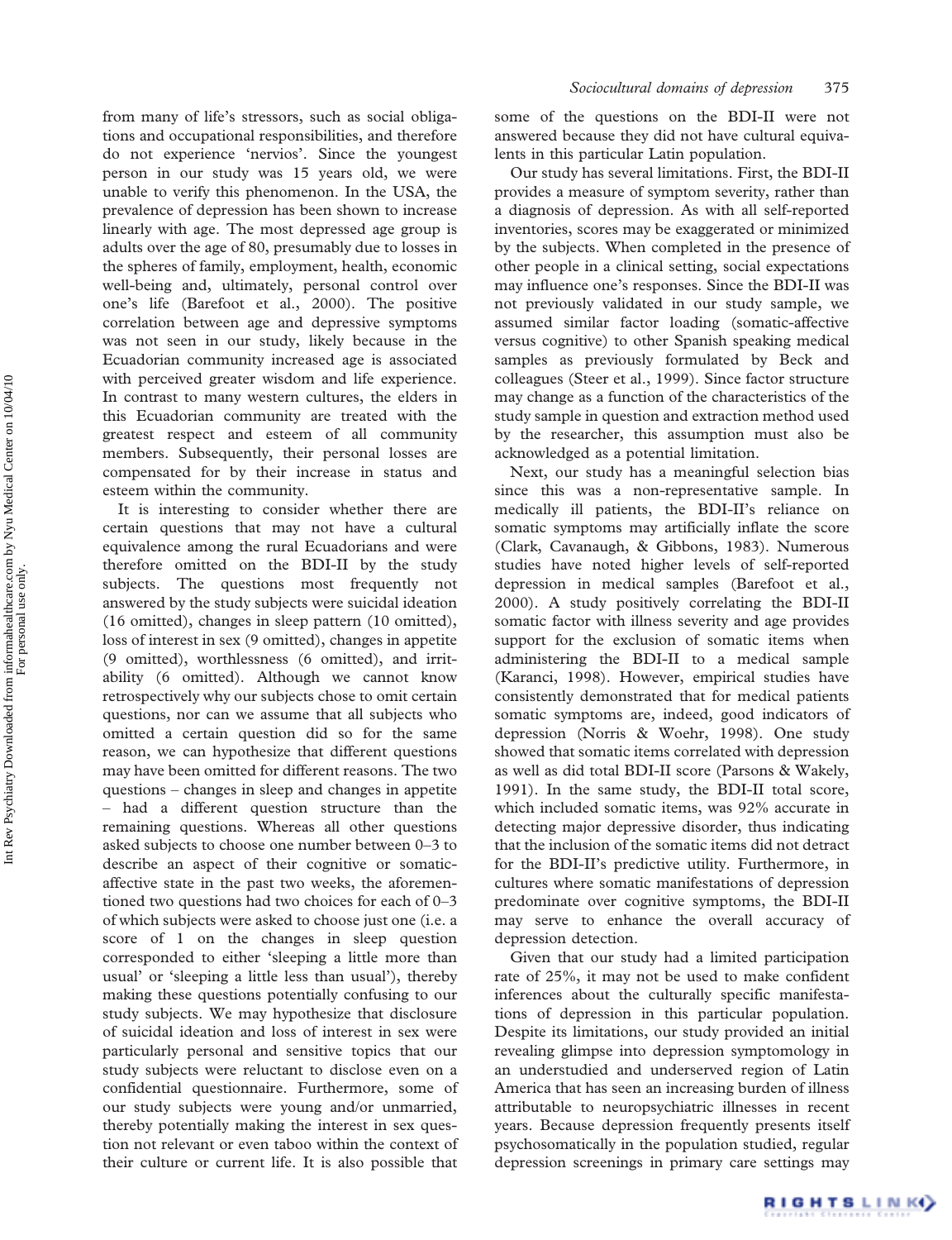from many of life's stressors, such as social obligations and occupational responsibilities, and therefore do not experience 'nervios'. Since the youngest person in our study was 15 years old, we were unable to verify this phenomenon. In the USA, the prevalence of depression has been shown to increase linearly with age. The most depressed age group is adults over the age of 80, presumably due to losses in the spheres of family, employment, health, economic well-being and, ultimately, personal control over one's life (Barefoot et al., 2000). The positive correlation between age and depressive symptoms was not seen in our study, likely because in the Ecuadorian community increased age is associated with perceived greater wisdom and life experience. In contrast to many western cultures, the elders in this Ecuadorian community are treated with the greatest respect and esteem of all community members. Subsequently, their personal losses are compensated for by their increase in status and esteem within the community.

It is interesting to consider whether there are certain questions that may not have a cultural equivalence among the rural Ecuadorians and were therefore omitted on the BDI-II by the study subjects. The questions most frequently not answered by the study subjects were suicidal ideation (16 omitted), changes in sleep pattern (10 omitted), loss of interest in sex (9 omitted), changes in appetite (9 omitted), worthlessness (6 omitted), and irritability (6 omitted). Although we cannot know retrospectively why our subjects chose to omit certain questions, nor can we assume that all subjects who omitted a certain question did so for the same reason, we can hypothesize that different questions may have been omitted for different reasons. The two questions – changes in sleep and changes in appetite had a different question structure than the remaining questions. Whereas all other questions asked subjects to choose one number between 0–3 to describe an aspect of their cognitive or somaticaffective state in the past two weeks, the aforementioned two questions had two choices for each of 0–3 of which subjects were asked to choose just one (i.e. a score of 1 on the changes in sleep question corresponded to either 'sleeping a little more than usual' or 'sleeping a little less than usual'), thereby making these questions potentially confusing to our study subjects. We may hypothesize that disclosure of suicidal ideation and loss of interest in sex were particularly personal and sensitive topics that our study subjects were reluctant to disclose even on a confidential questionnaire. Furthermore, some of our study subjects were young and/or unmarried, thereby potentially making the interest in sex question not relevant or even taboo within the context of their culture or current life. It is also possible that

some of the questions on the BDI-II were not answered because they did not have cultural equivalents in this particular Latin population.

Our study has several limitations. First, the BDI-II provides a measure of symptom severity, rather than a diagnosis of depression. As with all self-reported inventories, scores may be exaggerated or minimized by the subjects. When completed in the presence of other people in a clinical setting, social expectations may influence one's responses. Since the BDI-II was not previously validated in our study sample, we assumed similar factor loading (somatic-affective versus cognitive) to other Spanish speaking medical samples as previously formulated by Beck and colleagues (Steer et al., 1999). Since factor structure may change as a function of the characteristics of the study sample in question and extraction method used by the researcher, this assumption must also be acknowledged as a potential limitation.

Next, our study has a meaningful selection bias since this was a non-representative sample. In medically ill patients, the BDI-II's reliance on somatic symptoms may artificially inflate the score (Clark, Cavanaugh, & Gibbons, 1983). Numerous studies have noted higher levels of self-reported depression in medical samples (Barefoot et al., 2000). A study positively correlating the BDI-II somatic factor with illness severity and age provides support for the exclusion of somatic items when administering the BDI-II to a medical sample (Karanci, 1998). However, empirical studies have consistently demonstrated that for medical patients somatic symptoms are, indeed, good indicators of depression (Norris & Woehr, 1998). One study showed that somatic items correlated with depression as well as did total BDI-II score (Parsons & Wakely, 1991). In the same study, the BDI-II total score, which included somatic items, was 92% accurate in detecting major depressive disorder, thus indicating that the inclusion of the somatic items did not detract for the BDI-II's predictive utility. Furthermore, in cultures where somatic manifestations of depression predominate over cognitive symptoms, the BDI-II may serve to enhance the overall accuracy of depression detection.

Given that our study had a limited participation rate of 25%, it may not be used to make confident inferences about the culturally specific manifestations of depression in this particular population. Despite its limitations, our study provided an initial revealing glimpse into depression symptomology in an understudied and underserved region of Latin America that has seen an increasing burden of illness attributable to neuropsychiatric illnesses in recent years. Because depression frequently presents itself psychosomatically in the population studied, regular depression screenings in primary care settings may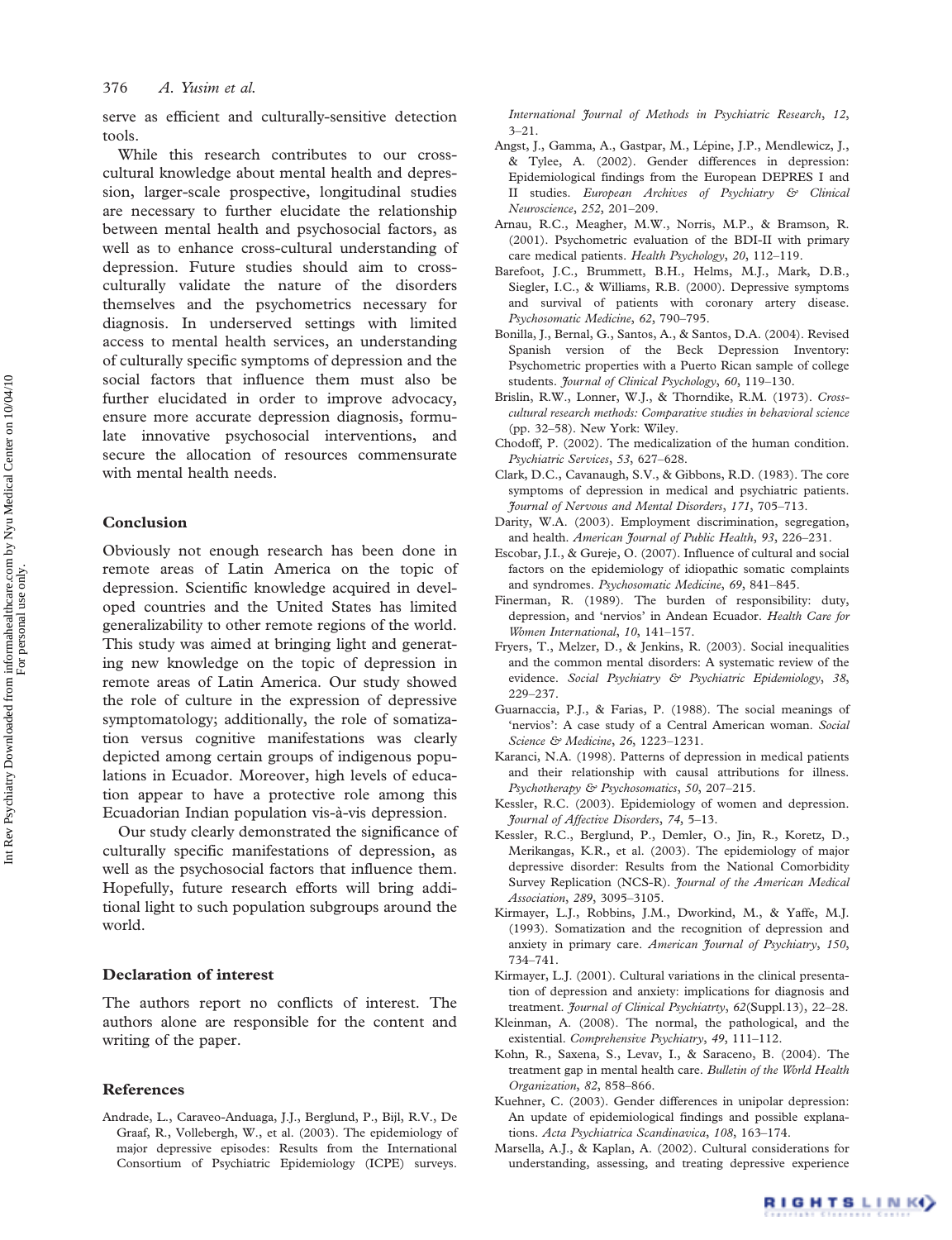serve as efficient and culturally-sensitive detection tools.

While this research contributes to our crosscultural knowledge about mental health and depression, larger-scale prospective, longitudinal studies are necessary to further elucidate the relationship between mental health and psychosocial factors, as well as to enhance cross-cultural understanding of depression. Future studies should aim to crossculturally validate the nature of the disorders themselves and the psychometrics necessary for diagnosis. In underserved settings with limited access to mental health services, an understanding of culturally specific symptoms of depression and the social factors that influence them must also be further elucidated in order to improve advocacy, ensure more accurate depression diagnosis, formulate innovative psychosocial interventions, and secure the allocation of resources commensurate with mental health needs.

#### Conclusion

Obviously not enough research has been done in remote areas of Latin America on the topic of depression. Scientific knowledge acquired in developed countries and the United States has limited generalizability to other remote regions of the world. This study was aimed at bringing light and generating new knowledge on the topic of depression in remote areas of Latin America. Our study showed the role of culture in the expression of depressive symptomatology; additionally, the role of somatization versus cognitive manifestations was clearly depicted among certain groups of indigenous populations in Ecuador. Moreover, high levels of education appear to have a protective role among this Ecuadorian Indian population vis-à-vis depression.

Our study clearly demonstrated the significance of culturally specific manifestations of depression, as well as the psychosocial factors that influence them. Hopefully, future research efforts will bring additional light to such population subgroups around the world.

#### Declaration of interest

The authors report no conflicts of interest. The authors alone are responsible for the content and writing of the paper.

#### References

Andrade, L., Caraveo-Anduaga, J.J., Berglund, P., Bijl, R.V., De Graaf, R., Vollebergh, W., et al. (2003). The epidemiology of major depressive episodes: Results from the International Consortium of Psychiatric Epidemiology (ICPE) surveys.

International Journal of Methods in Psychiatric Research, 12,  $3 - 21$ 

- Angst, J., Gamma, A., Gastpar, M., Lépine, J.P., Mendlewicz, J., & Tylee, A. (2002). Gender differences in depression: Epidemiological findings from the European DEPRES I and II studies. European Archives of Psychiatry & Clinical Neuroscience, 252, 201–209.
- Arnau, R.C., Meagher, M.W., Norris, M.P., & Bramson, R. (2001). Psychometric evaluation of the BDI-II with primary care medical patients. Health Psychology, 20, 112–119.
- Barefoot, J.C., Brummett, B.H., Helms, M.J., Mark, D.B., Siegler, I.C., & Williams, R.B. (2000). Depressive symptoms and survival of patients with coronary artery disease. Psychosomatic Medicine, 62, 790–795.
- Bonilla, J., Bernal, G., Santos, A., & Santos, D.A. (2004). Revised Spanish version of the Beck Depression Inventory: Psychometric properties with a Puerto Rican sample of college students. Journal of Clinical Psychology, 60, 119-130.
- Brislin, R.W., Lonner, W.J., & Thorndike, R.M. (1973). Crosscultural research methods: Comparative studies in behavioral science (pp. 32–58). New York: Wiley.
- Chodoff, P. (2002). The medicalization of the human condition. Psychiatric Services, 53, 627–628.
- Clark, D.C., Cavanaugh, S.V., & Gibbons, R.D. (1983). The core symptoms of depression in medical and psychiatric patients. Journal of Nervous and Mental Disorders, 171, 705–713.
- Darity, W.A. (2003). Employment discrimination, segregation, and health. American Journal of Public Health, 93, 226–231.
- Escobar, J.I., & Gureje, O. (2007). Influence of cultural and social factors on the epidemiology of idiopathic somatic complaints and syndromes. Psychosomatic Medicine, 69, 841–845.
- Finerman, R. (1989). The burden of responsibility: duty, depression, and 'nervios' in Andean Ecuador. Health Care for Women International, 10, 141–157.
- Fryers, T., Melzer, D., & Jenkins, R. (2003). Social inequalities and the common mental disorders: A systematic review of the evidence. Social Psychiatry & Psychiatric Epidemiology, 38, 229–237.
- Guarnaccia, P.J., & Farias, P. (1988). The social meanings of 'nervios': A case study of a Central American woman. Social Science & Medicine, 26, 1223-1231.
- Karanci, N.A. (1998). Patterns of depression in medical patients and their relationship with causal attributions for illness. Psychotherapy & Psychosomatics, 50, 207–215.
- Kessler, R.C. (2003). Epidemiology of women and depression. Journal of Affective Disorders, 74, 5–13.
- Kessler, R.C., Berglund, P., Demler, O., Jin, R., Koretz, D., Merikangas, K.R., et al. (2003). The epidemiology of major depressive disorder: Results from the National Comorbidity Survey Replication (NCS-R). Journal of the American Medical Association, 289, 3095–3105.
- Kirmayer, L.J., Robbins, J.M., Dworkind, M., & Yaffe, M.J. (1993). Somatization and the recognition of depression and anxiety in primary care. American Journal of Psychiatry, 150, 734–741.
- Kirmayer, L.J. (2001). Cultural variations in the clinical presentation of depression and anxiety: implications for diagnosis and treatment. Journal of Clinical Psychiatrty, 62(Suppl.13), 22-28.
- Kleinman, A. (2008). The normal, the pathological, and the existential. Comprehensive Psychiatry, 49, 111–112.
- Kohn, R., Saxena, S., Levav, I., & Saraceno, B. (2004). The treatment gap in mental health care. Bulletin of the World Health Organization, 82, 858–866.
- Kuehner, C. (2003). Gender differences in unipolar depression: An update of epidemiological findings and possible explanations. Acta Psychiatrica Scandinavica, 108, 163–174.
- Marsella, A.J., & Kaplan, A. (2002). Cultural considerations for understanding, assessing, and treating depressive experience